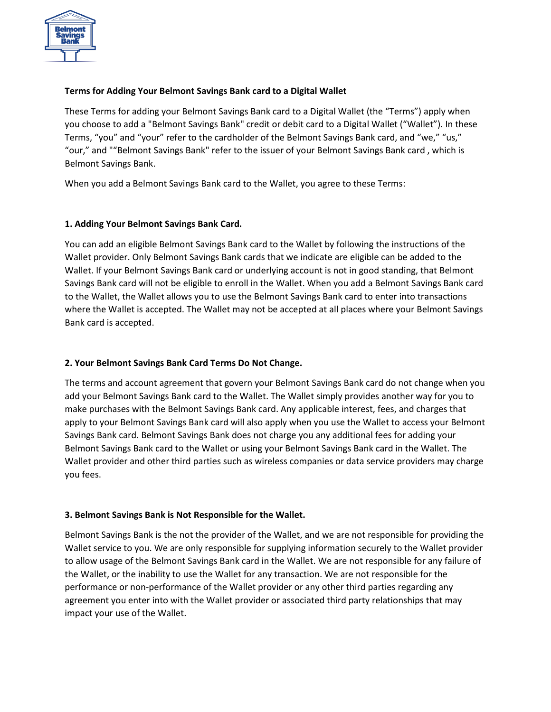

# **Terms for Adding Your Belmont Savings Bank card to a Digital Wallet**

These Terms for adding your Belmont Savings Bank card to a Digital Wallet (the "Terms") apply when you choose to add a "Belmont Savings Bank" credit or debit card to a Digital Wallet ("Wallet"). In these Terms, "you" and "your" refer to the cardholder of the Belmont Savings Bank card, and "we," "us," "our," and ""Belmont Savings Bank" refer to the issuer of your Belmont Savings Bank card , which is Belmont Savings Bank.

When you add a Belmont Savings Bank card to the Wallet, you agree to these Terms:

#### **1. Adding Your Belmont Savings Bank Card.**

You can add an eligible Belmont Savings Bank card to the Wallet by following the instructions of the Wallet provider. Only Belmont Savings Bank cards that we indicate are eligible can be added to the Wallet. If your Belmont Savings Bank card or underlying account is not in good standing, that Belmont Savings Bank card will not be eligible to enroll in the Wallet. When you add a Belmont Savings Bank card to the Wallet, the Wallet allows you to use the Belmont Savings Bank card to enter into transactions where the Wallet is accepted. The Wallet may not be accepted at all places where your Belmont Savings Bank card is accepted.

# **2. Your Belmont Savings Bank Card Terms Do Not Change.**

The terms and account agreement that govern your Belmont Savings Bank card do not change when you add your Belmont Savings Bank card to the Wallet. The Wallet simply provides another way for you to make purchases with the Belmont Savings Bank card. Any applicable interest, fees, and charges that apply to your Belmont Savings Bank card will also apply when you use the Wallet to access your Belmont Savings Bank card. Belmont Savings Bank does not charge you any additional fees for adding your Belmont Savings Bank card to the Wallet or using your Belmont Savings Bank card in the Wallet. The Wallet provider and other third parties such as wireless companies or data service providers may charge you fees.

#### **3. Belmont Savings Bank is Not Responsible for the Wallet.**

Belmont Savings Bank is the not the provider of the Wallet, and we are not responsible for providing the Wallet service to you. We are only responsible for supplying information securely to the Wallet provider to allow usage of the Belmont Savings Bank card in the Wallet. We are not responsible for any failure of the Wallet, or the inability to use the Wallet for any transaction. We are not responsible for the performance or non-performance of the Wallet provider or any other third parties regarding any agreement you enter into with the Wallet provider or associated third party relationships that may impact your use of the Wallet.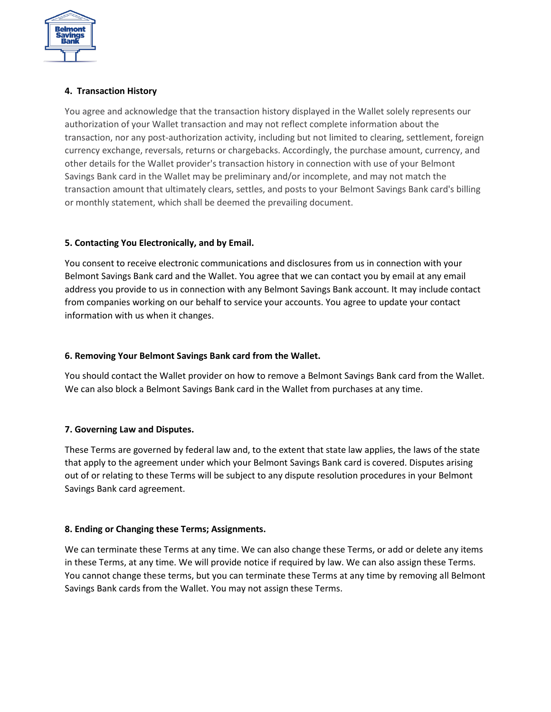

# **4. Transaction History**

You agree and acknowledge that the transaction history displayed in the Wallet solely represents our authorization of your Wallet transaction and may not reflect complete information about the transaction, nor any post-authorization activity, including but not limited to clearing, settlement, foreign currency exchange, reversals, returns or chargebacks. Accordingly, the purchase amount, currency, and other details for the Wallet provider's transaction history in connection with use of your Belmont Savings Bank card in the Wallet may be preliminary and/or incomplete, and may not match the transaction amount that ultimately clears, settles, and posts to your Belmont Savings Bank card's billing or monthly statement, which shall be deemed the prevailing document.

# **5. Contacting You Electronically, and by Email.**

You consent to receive electronic communications and disclosures from us in connection with your Belmont Savings Bank card and the Wallet. You agree that we can contact you by email at any email address you provide to us in connection with any Belmont Savings Bank account. It may include contact from companies working on our behalf to service your accounts. You agree to update your contact information with us when it changes.

#### **6. Removing Your Belmont Savings Bank card from the Wallet.**

You should contact the Wallet provider on how to remove a Belmont Savings Bank card from the Wallet. We can also block a Belmont Savings Bank card in the Wallet from purchases at any time.

# **7. Governing Law and Disputes.**

These Terms are governed by federal law and, to the extent that state law applies, the laws of the state that apply to the agreement under which your Belmont Savings Bank card is covered. Disputes arising out of or relating to these Terms will be subject to any dispute resolution procedures in your Belmont Savings Bank card agreement.

# **8. Ending or Changing these Terms; Assignments.**

We can terminate these Terms at any time. We can also change these Terms, or add or delete any items in these Terms, at any time. We will provide notice if required by law. We can also assign these Terms. You cannot change these terms, but you can terminate these Terms at any time by removing all Belmont Savings Bank cards from the Wallet. You may not assign these Terms.